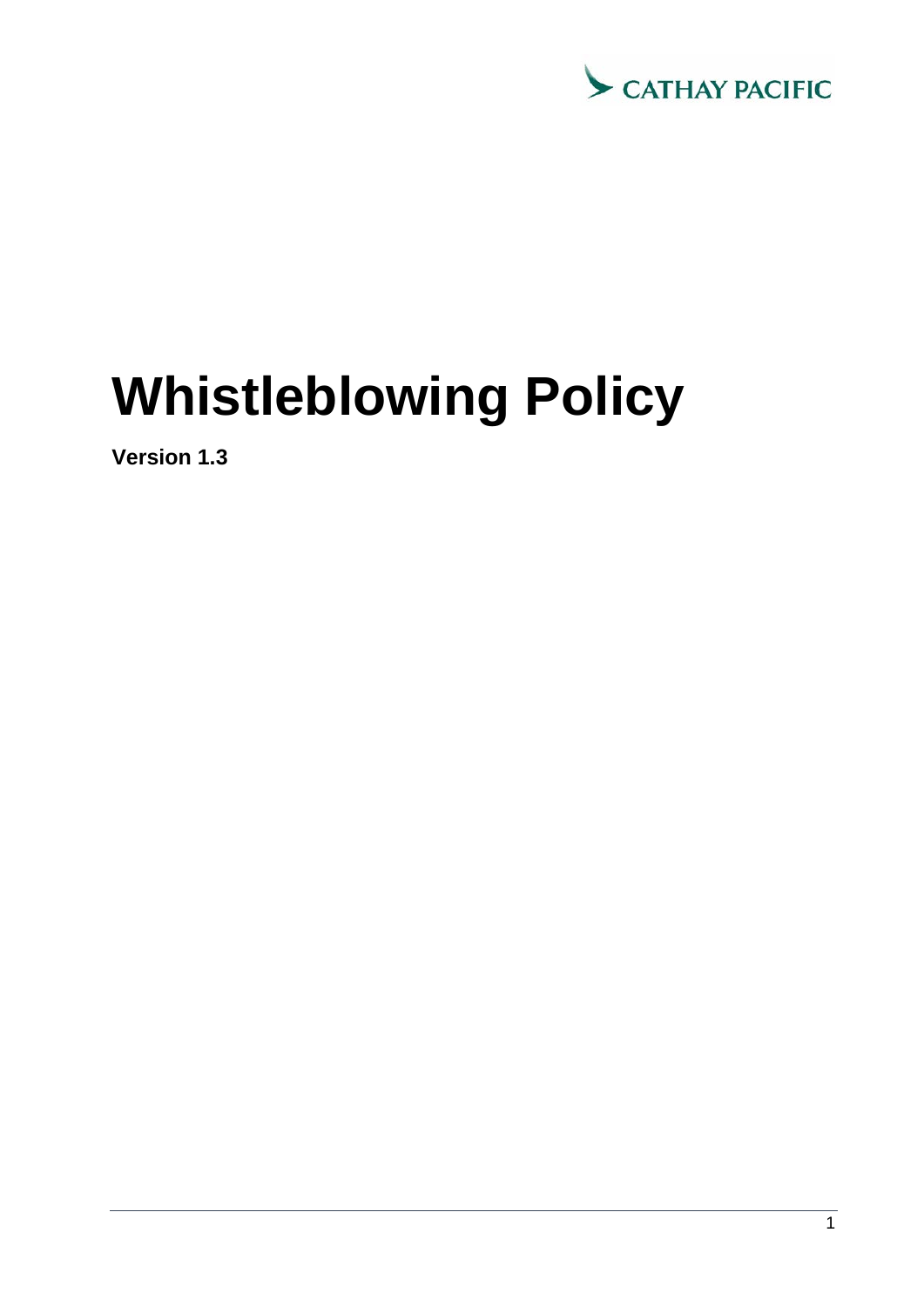

# **Whistleblowing Policy**

**Version 1.3**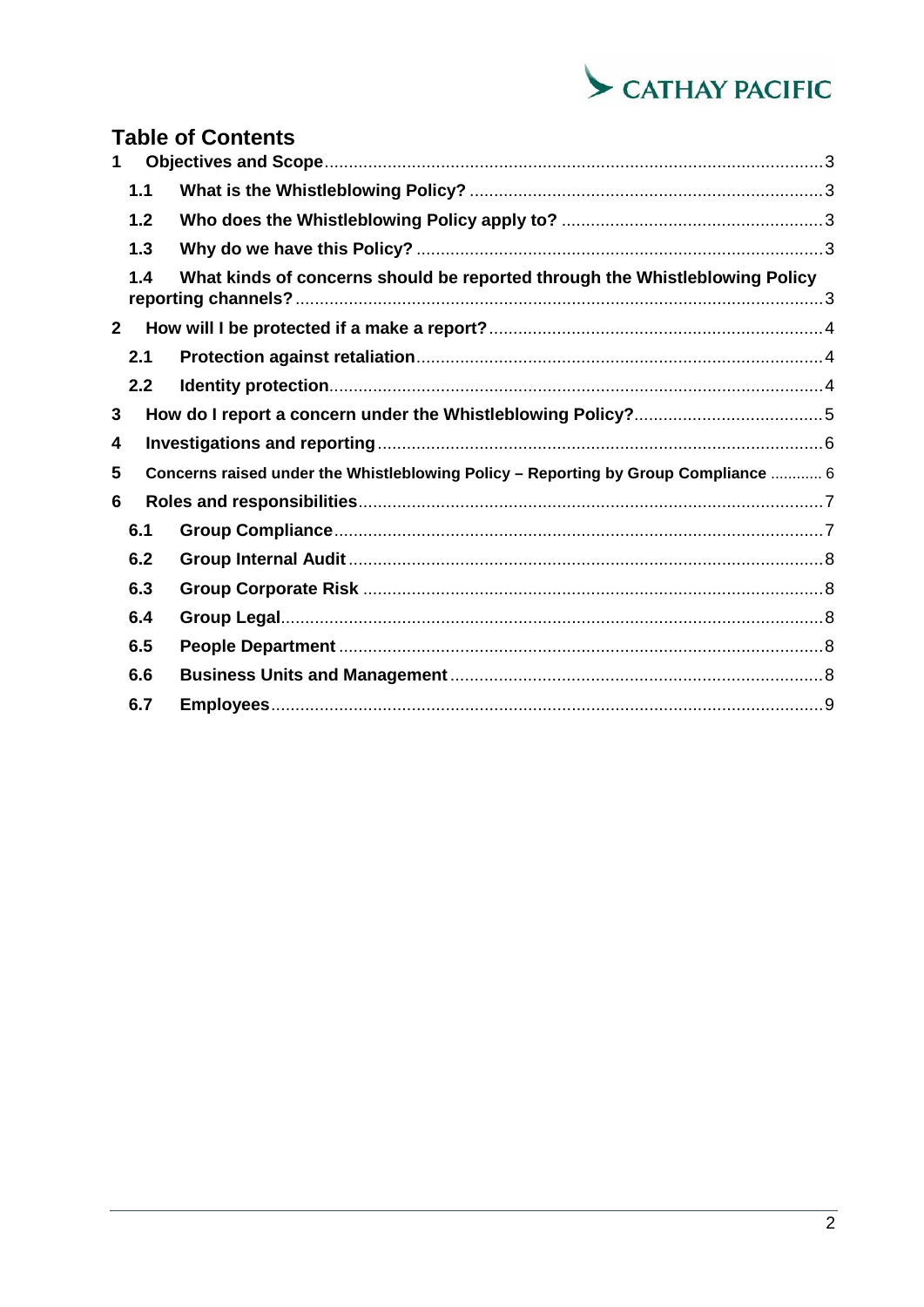

|              |     | <b>Table of Contents</b>                                                           |  |  |  |
|--------------|-----|------------------------------------------------------------------------------------|--|--|--|
|              |     |                                                                                    |  |  |  |
|              | 1.1 |                                                                                    |  |  |  |
|              | 1.2 |                                                                                    |  |  |  |
|              | 1.3 |                                                                                    |  |  |  |
|              | 1.4 | What kinds of concerns should be reported through the Whistleblowing Policy        |  |  |  |
| $\mathbf{2}$ |     |                                                                                    |  |  |  |
|              | 2.1 |                                                                                    |  |  |  |
|              | 2.2 |                                                                                    |  |  |  |
| 3            |     |                                                                                    |  |  |  |
| 4            |     |                                                                                    |  |  |  |
| 5            |     | Concerns raised under the Whistleblowing Policy - Reporting by Group Compliance  6 |  |  |  |
| 6            |     |                                                                                    |  |  |  |
|              | 6.1 |                                                                                    |  |  |  |
|              | 6.2 |                                                                                    |  |  |  |
|              | 6.3 |                                                                                    |  |  |  |
|              | 6.4 |                                                                                    |  |  |  |
|              | 6.5 |                                                                                    |  |  |  |
|              | 6.6 |                                                                                    |  |  |  |
|              | 6.7 |                                                                                    |  |  |  |
|              |     |                                                                                    |  |  |  |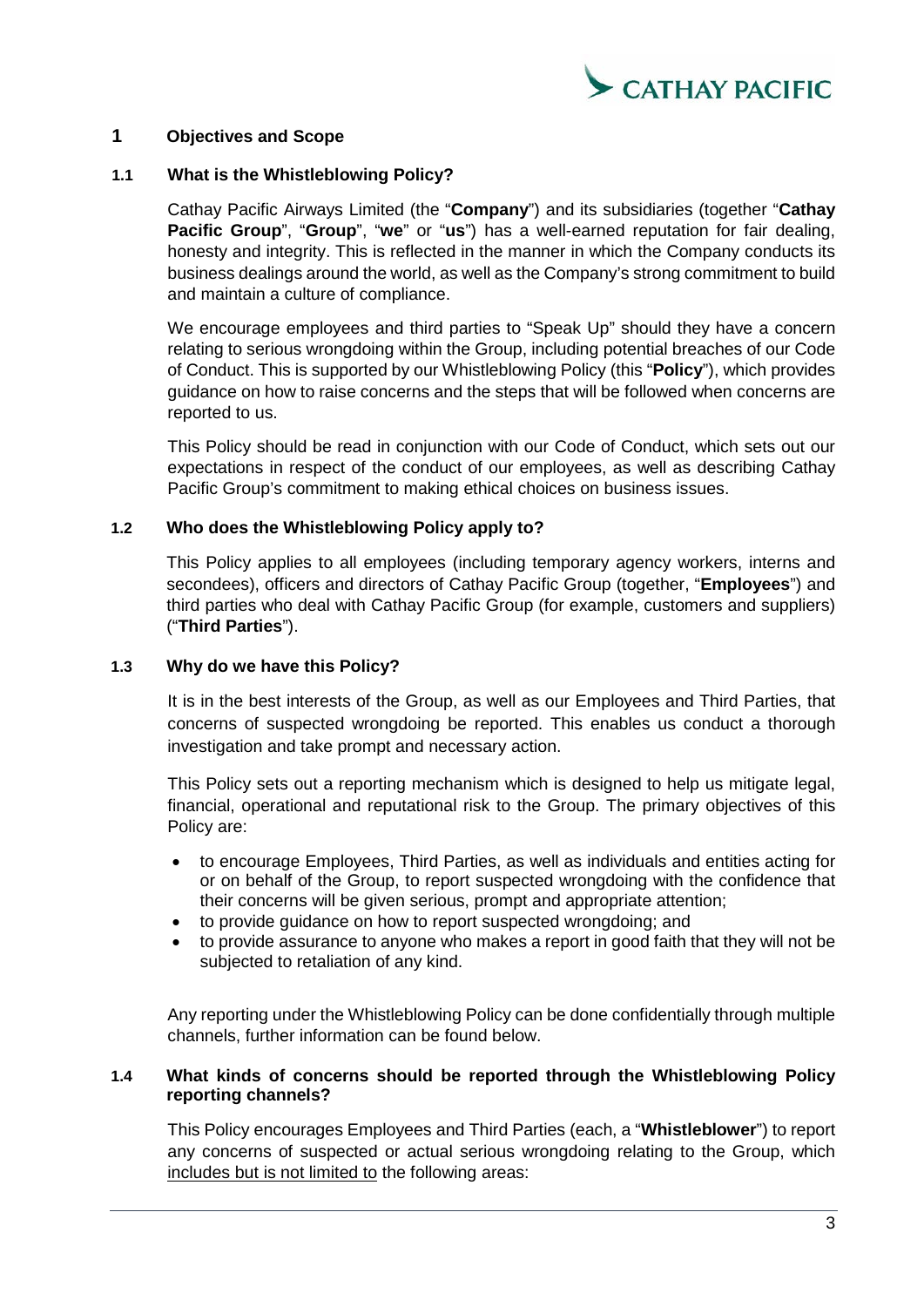

# <span id="page-2-0"></span>**1 Objectives and Scope**

#### <span id="page-2-1"></span>**1.1 What is the Whistleblowing Policy?**

Cathay Pacific Airways Limited (the "**Company**") and its subsidiaries (together "**Cathay Pacific Group**", "**Group**", "**we**" or "**us**") has a well-earned reputation for fair dealing, honesty and integrity. This is reflected in the manner in which the Company conducts its business dealings around the world, as well as the Company's strong commitment to build and maintain a culture of compliance.

We encourage employees and third parties to "Speak Up" should they have a concern relating to serious wrongdoing within the Group, including potential breaches of our Code of Conduct. This is supported by our Whistleblowing Policy (this "**Policy**"), which provides guidance on how to raise concerns and the steps that will be followed when concerns are reported to us.

This Policy should be read in conjunction with our Code of Conduct, which sets out our expectations in respect of the conduct of our employees, as well as describing Cathay Pacific Group's commitment to making ethical choices on business issues.

#### <span id="page-2-2"></span>**1.2 Who does the Whistleblowing Policy apply to?**

This Policy applies to all employees (including temporary agency workers, interns and secondees), officers and directors of Cathay Pacific Group (together, "**Employees**") and third parties who deal with Cathay Pacific Group (for example, customers and suppliers) ("**Third Parties**").

#### <span id="page-2-3"></span>**1.3 Why do we have this Policy?**

It is in the best interests of the Group, as well as our Employees and Third Parties, that concerns of suspected wrongdoing be reported. This enables us conduct a thorough investigation and take prompt and necessary action.

This Policy sets out a reporting mechanism which is designed to help us mitigate legal, financial, operational and reputational risk to the Group. The primary objectives of this Policy are:

- to encourage Employees, Third Parties, as well as individuals and entities acting for or on behalf of the Group, to report suspected wrongdoing with the confidence that their concerns will be given serious, prompt and appropriate attention;
- to provide guidance on how to report suspected wrongdoing; and
- to provide assurance to anyone who makes a report in good faith that they will not be subjected to retaliation of any kind.

Any reporting under the Whistleblowing Policy can be done confidentially through multiple channels, further information can be found below.

#### <span id="page-2-4"></span>**1.4 What kinds of concerns should be reported through the Whistleblowing Policy reporting channels?**

This Policy encourages Employees and Third Parties (each, a "**Whistleblower**") to report any concerns of suspected or actual serious wrongdoing relating to the Group, which includes but is not limited to the following areas: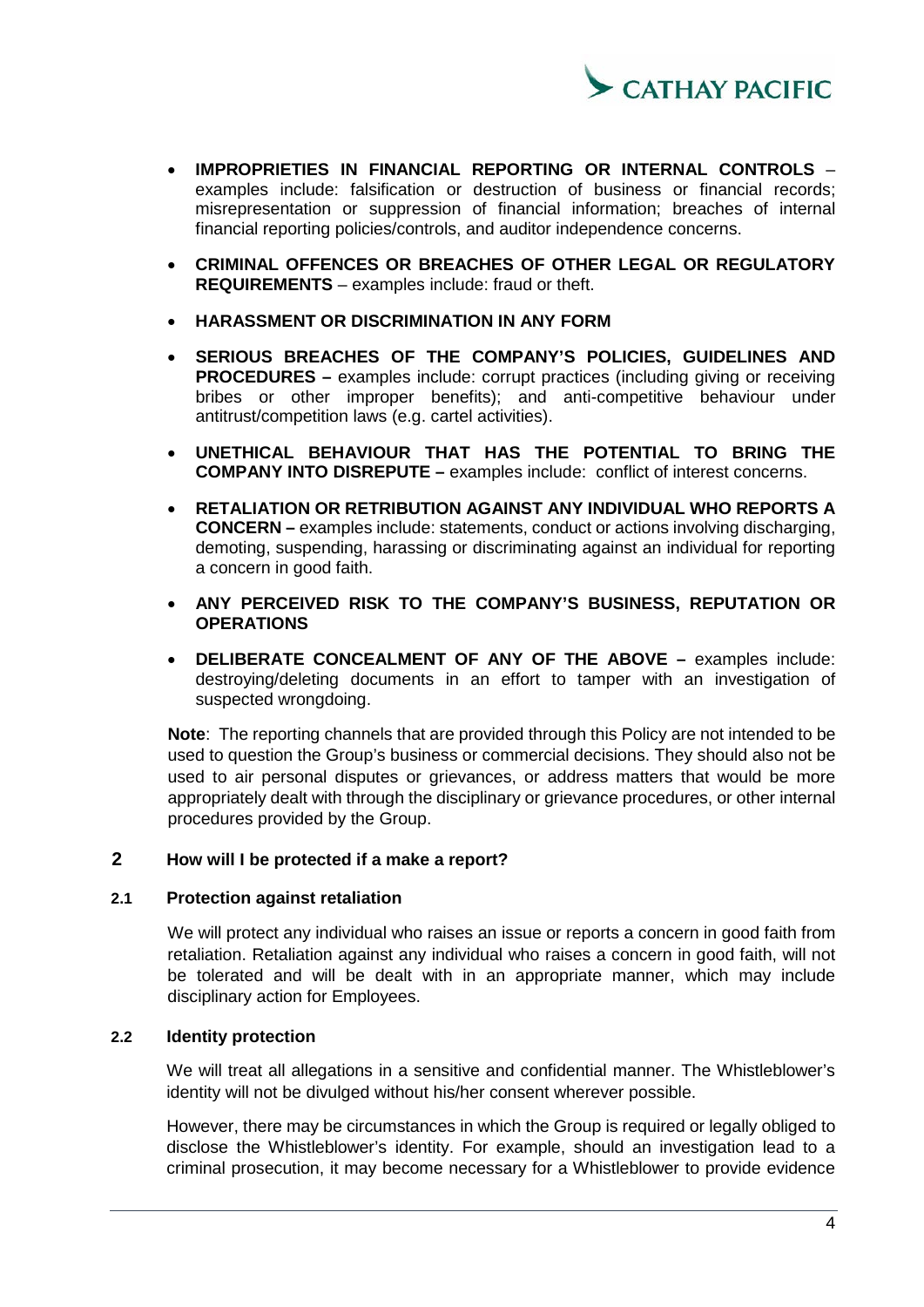

- **IMPROPRIETIES IN FINANCIAL REPORTING OR INTERNAL CONTROLS** examples include: falsification or destruction of business or financial records; misrepresentation or suppression of financial information; breaches of internal financial reporting policies/controls, and auditor independence concerns.
- **CRIMINAL OFFENCES OR BREACHES OF OTHER LEGAL OR REGULATORY REQUIREMENTS** – examples include: fraud or theft.
- **HARASSMENT OR DISCRIMINATION IN ANY FORM**
- SERIOUS BREACHES OF THE COMPANY'S POLICIES, GUIDELINES AND **PROCEDURES** – examples include: corrupt practices (including giving or receiving bribes or other improper benefits); and anti-competitive behaviour under antitrust/competition laws (e.g. cartel activities).
- **UNETHICAL BEHAVIOUR THAT HAS THE POTENTIAL TO BRING THE COMPANY INTO DISREPUTE –** examples include: conflict of interest concerns.
- **RETALIATION OR RETRIBUTION AGAINST ANY INDIVIDUAL WHO REPORTS A CONCERN –** examples include: statements, conduct or actions involving discharging, demoting, suspending, harassing or discriminating against an individual for reporting a concern in good faith.
- **ANY PERCEIVED RISK TO THE COMPANY'S BUSINESS, REPUTATION OR OPERATIONS**
- **DELIBERATE CONCEALMENT OF ANY OF THE ABOVE –** examples include: destroying/deleting documents in an effort to tamper with an investigation of suspected wrongdoing.

**Note**: The reporting channels that are provided through this Policy are not intended to be used to question the Group's business or commercial decisions. They should also not be used to air personal disputes or grievances, or address matters that would be more appropriately dealt with through the disciplinary or grievance procedures, or other internal procedures provided by the Group.

#### <span id="page-3-0"></span>**2 How will I be protected if a make a report?**

#### <span id="page-3-1"></span>**2.1 Protection against retaliation**

We will protect any individual who raises an issue or reports a concern in good faith from retaliation. Retaliation against any individual who raises a concern in good faith, will not be tolerated and will be dealt with in an appropriate manner, which may include disciplinary action for Employees.

#### <span id="page-3-2"></span>**2.2 Identity protection**

We will treat all allegations in a sensitive and confidential manner. The Whistleblower's identity will not be divulged without his/her consent wherever possible.

However, there may be circumstances in which the Group is required or legally obliged to disclose the Whistleblower's identity. For example, should an investigation lead to a criminal prosecution, it may become necessary for a Whistleblower to provide evidence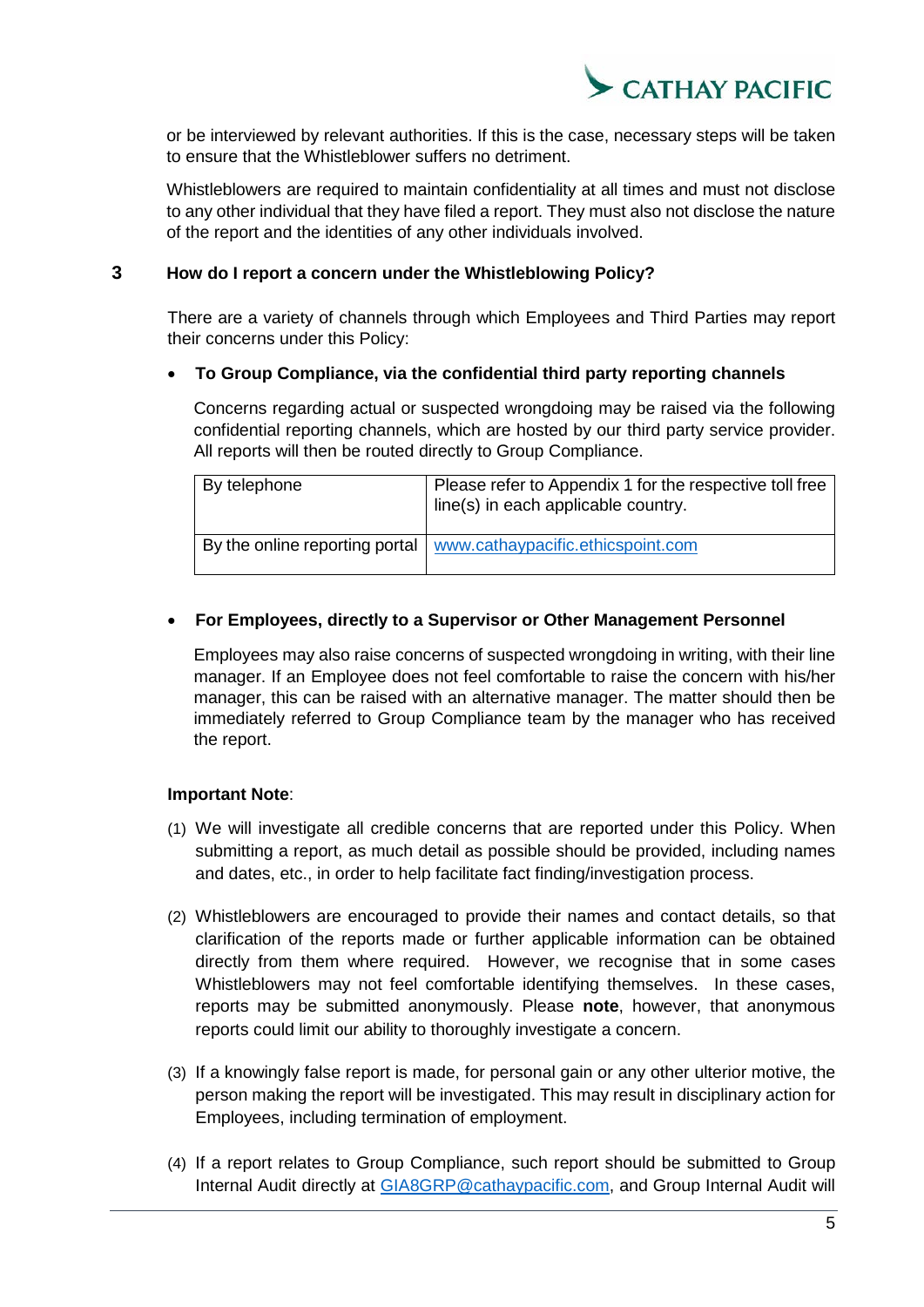

or be interviewed by relevant authorities. If this is the case, necessary steps will be taken to ensure that the Whistleblower suffers no detriment.

Whistleblowers are required to maintain confidentiality at all times and must not disclose to any other individual that they have filed a report. They must also not disclose the nature of the report and the identities of any other individuals involved.

# <span id="page-4-0"></span>**3 How do I report a concern under the Whistleblowing Policy?**

There are a variety of channels through which Employees and Third Parties may report their concerns under this Policy:

#### • **To Group Compliance, via the confidential third party reporting channels**

Concerns regarding actual or suspected wrongdoing may be raised via the following confidential reporting channels, which are hosted by our third party service provider. All reports will then be routed directly to Group Compliance.

| By telephone | Please refer to Appendix 1 for the respective toll free<br>line(s) in each applicable country. |
|--------------|------------------------------------------------------------------------------------------------|
|              | By the online reporting portal   www.cathaypacific.ethicspoint.com                             |

# • **For Employees, directly to a Supervisor or Other Management Personnel**

Employees may also raise concerns of suspected wrongdoing in writing, with their line manager. If an Employee does not feel comfortable to raise the concern with his/her manager, this can be raised with an alternative manager. The matter should then be immediately referred to Group Compliance team by the manager who has received the report.

#### **Important Note**:

- (1) We will investigate all credible concerns that are reported under this Policy. When submitting a report, as much detail as possible should be provided, including names and dates, etc., in order to help facilitate fact finding/investigation process.
- (2) Whistleblowers are encouraged to provide their names and contact details, so that clarification of the reports made or further applicable information can be obtained directly from them where required. However, we recognise that in some cases Whistleblowers may not feel comfortable identifying themselves. In these cases, reports may be submitted anonymously. Please **note**, however, that anonymous reports could limit our ability to thoroughly investigate a concern.
- (3) If a knowingly false report is made, for personal gain or any other ulterior motive, the person making the report will be investigated. This may result in disciplinary action for Employees, including termination of employment.
- (4) If a report relates to Group Compliance, such report should be submitted to Group Internal Audit directly at [GIA8GRP@cathaypacific.com,](mailto:GIA8GRP@cathaypacific.com) and Group Internal Audit will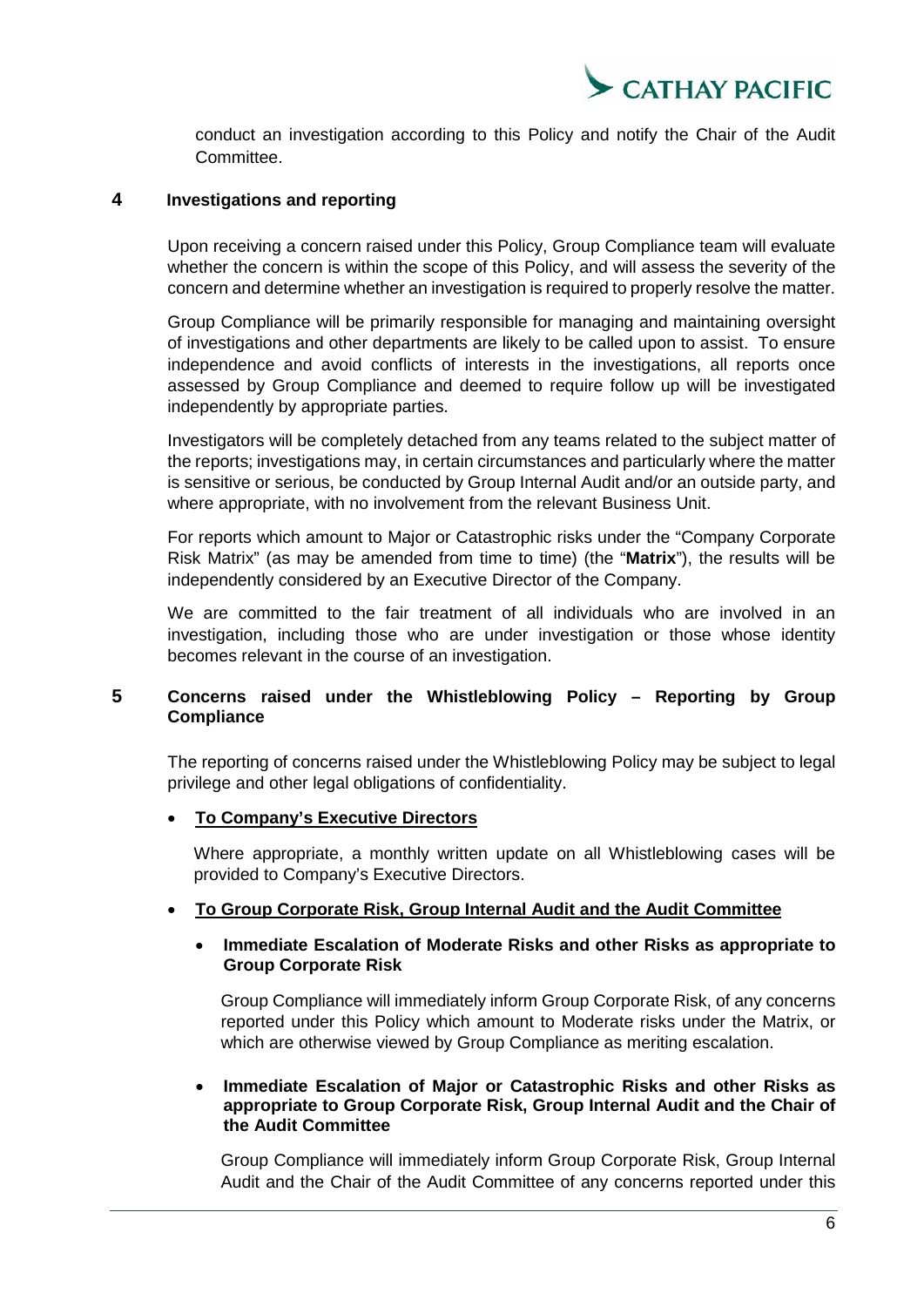

conduct an investigation according to this Policy and notify the Chair of the Audit Committee.

# <span id="page-5-0"></span>**4 Investigations and reporting**

Upon receiving a concern raised under this Policy, Group Compliance team will evaluate whether the concern is within the scope of this Policy, and will assess the severity of the concern and determine whether an investigation is required to properly resolve the matter.

Group Compliance will be primarily responsible for managing and maintaining oversight of investigations and other departments are likely to be called upon to assist. To ensure independence and avoid conflicts of interests in the investigations, all reports once assessed by Group Compliance and deemed to require follow up will be investigated independently by appropriate parties.

Investigators will be completely detached from any teams related to the subject matter of the reports; investigations may, in certain circumstances and particularly where the matter is sensitive or serious, be conducted by Group Internal Audit and/or an outside party, and where appropriate, with no involvement from the relevant Business Unit.

For reports which amount to Major or Catastrophic risks under the "Company Corporate Risk Matrix" (as may be amended from time to time) (the "**Matrix**"), the results will be independently considered by an Executive Director of the Company.

We are committed to the fair treatment of all individuals who are involved in an investigation, including those who are under investigation or those whose identity becomes relevant in the course of an investigation.

# <span id="page-5-1"></span>**5 Concerns raised under the Whistleblowing Policy – Reporting by Group Compliance**

The reporting of concerns raised under the Whistleblowing Policy may be subject to legal privilege and other legal obligations of confidentiality.

#### • **To Company's Executive Directors**

Where appropriate, a monthly written update on all Whistleblowing cases will be provided to Company's Executive Directors.

# • **To Group Corporate Risk, Group Internal Audit and the Audit Committee**

#### • **Immediate Escalation of Moderate Risks and other Risks as appropriate to Group Corporate Risk**

Group Compliance will immediately inform Group Corporate Risk, of any concerns reported under this Policy which amount to Moderate risks under the Matrix, or which are otherwise viewed by Group Compliance as meriting escalation.

#### • **Immediate Escalation of Major or Catastrophic Risks and other Risks as appropriate to Group Corporate Risk, Group Internal Audit and the Chair of the Audit Committee**

Group Compliance will immediately inform Group Corporate Risk, Group Internal Audit and the Chair of the Audit Committee of any concerns reported under this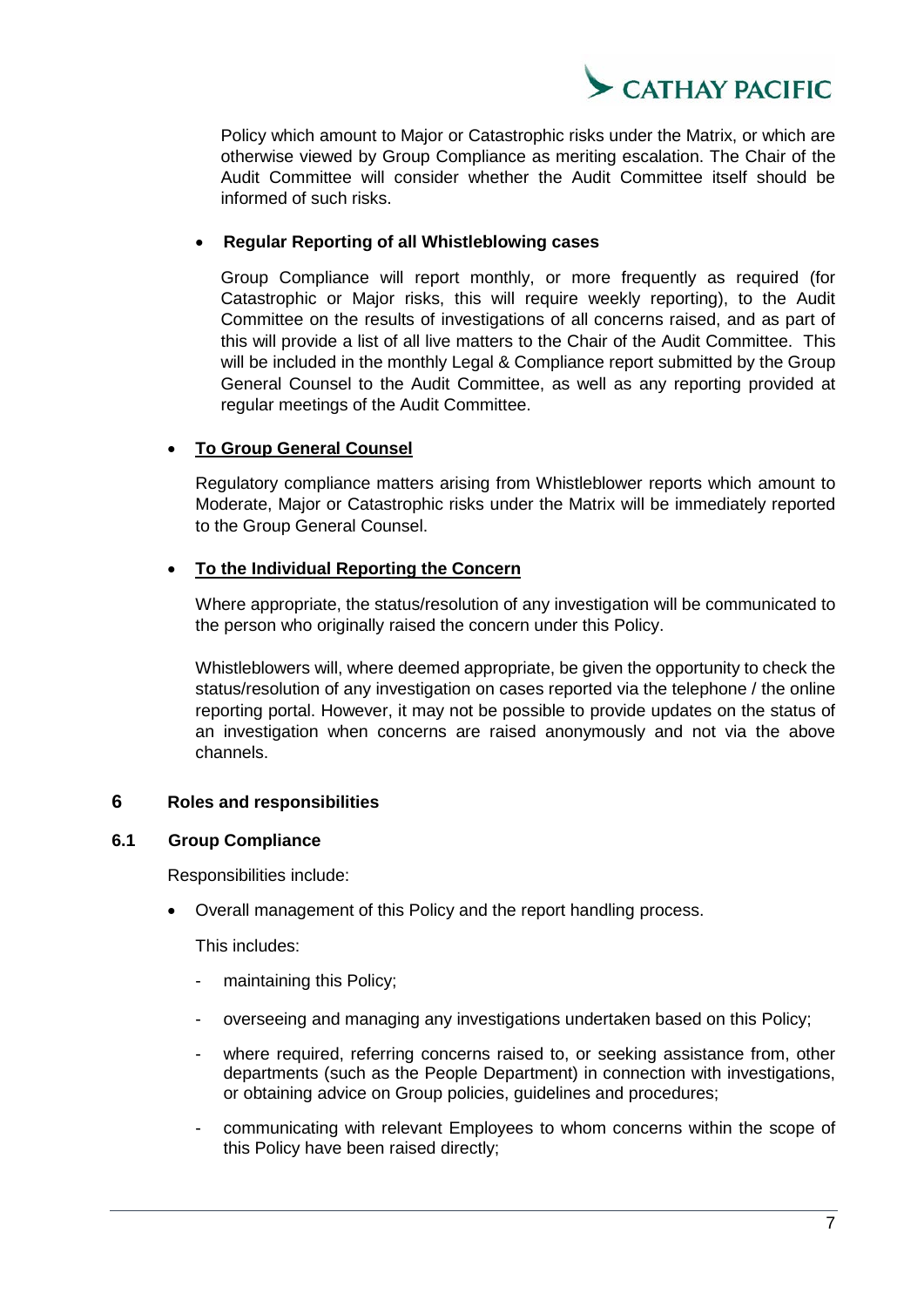

Policy which amount to Major or Catastrophic risks under the Matrix, or which are otherwise viewed by Group Compliance as meriting escalation. The Chair of the Audit Committee will consider whether the Audit Committee itself should be informed of such risks.

#### • **Regular Reporting of all Whistleblowing cases**

Group Compliance will report monthly, or more frequently as required (for Catastrophic or Major risks, this will require weekly reporting), to the Audit Committee on the results of investigations of all concerns raised, and as part of this will provide a list of all live matters to the Chair of the Audit Committee. This will be included in the monthly Legal & Compliance report submitted by the Group General Counsel to the Audit Committee, as well as any reporting provided at regular meetings of the Audit Committee.

# • **To Group General Counsel**

Regulatory compliance matters arising from Whistleblower reports which amount to Moderate, Major or Catastrophic risks under the Matrix will be immediately reported to the Group General Counsel.

# • **To the Individual Reporting the Concern**

Where appropriate, the status/resolution of any investigation will be communicated to the person who originally raised the concern under this Policy.

Whistleblowers will, where deemed appropriate, be given the opportunity to check the status/resolution of any investigation on cases reported via the telephone / the online reporting portal. However, it may not be possible to provide updates on the status of an investigation when concerns are raised anonymously and not via the above channels.

# <span id="page-6-0"></span>**6 Roles and responsibilities**

#### **6.1 Group Compliance**

<span id="page-6-1"></span>Responsibilities include:

• Overall management of this Policy and the report handling process.

This includes:

- maintaining this Policy;
- overseeing and managing any investigations undertaken based on this Policy;
- where required, referring concerns raised to, or seeking assistance from, other departments (such as the People Department) in connection with investigations, or obtaining advice on Group policies, guidelines and procedures;
- communicating with relevant Employees to whom concerns within the scope of this Policy have been raised directly;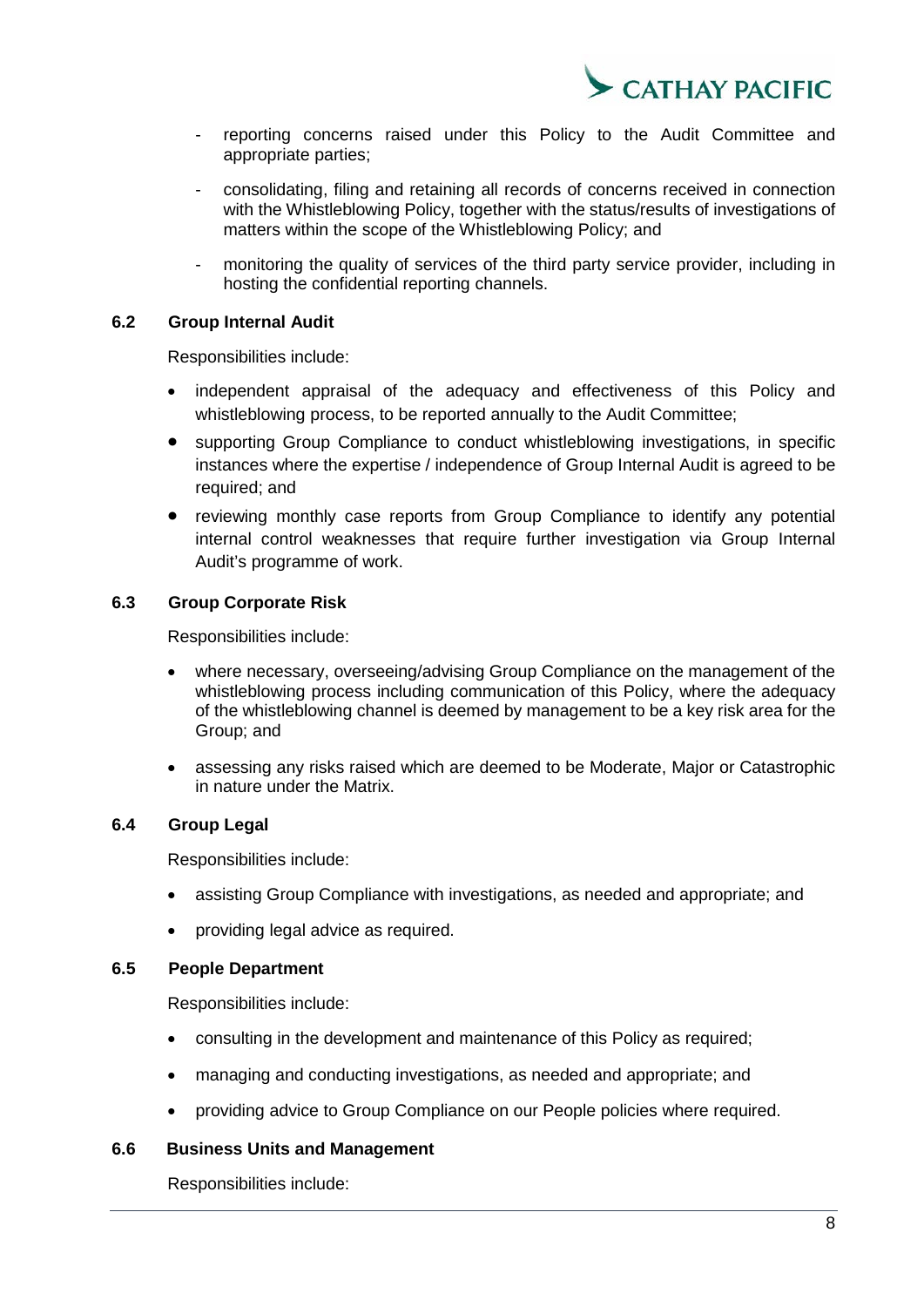

- reporting concerns raised under this Policy to the Audit Committee and appropriate parties;
- consolidating, filing and retaining all records of concerns received in connection with the Whistleblowing Policy, together with the status/results of investigations of matters within the scope of the Whistleblowing Policy; and
- monitoring the quality of services of the third party service provider, including in hosting the confidential reporting channels.

#### **6.2 Group Internal Audit**

<span id="page-7-0"></span>Responsibilities include:

- independent appraisal of the adequacy and effectiveness of this Policy and whistleblowing process, to be reported annually to the Audit Committee;
- supporting Group Compliance to conduct whistleblowing investigations, in specific instances where the expertise / independence of Group Internal Audit is agreed to be required; and
- reviewing monthly case reports from Group Compliance to identify any potential internal control weaknesses that require further investigation via Group Internal Audit's programme of work.

# **6.3 Group Corporate Risk**

<span id="page-7-1"></span>Responsibilities include:

- where necessary, overseeing/advising Group Compliance on the management of the whistleblowing process including communication of this Policy, where the adequacy of the whistleblowing channel is deemed by management to be a key risk area for the Group; and
- assessing any risks raised which are deemed to be Moderate, Major or Catastrophic in nature under the Matrix.

#### **6.4 Group Legal**

<span id="page-7-2"></span>Responsibilities include:

- assisting Group Compliance with investigations, as needed and appropriate; and
- <span id="page-7-3"></span>• providing legal advice as required.

#### **6.5 People Department**

Responsibilities include:

- consulting in the development and maintenance of this Policy as required;
- managing and conducting investigations, as needed and appropriate; and
- providing advice to Group Compliance on our People policies where required.

## <span id="page-7-4"></span>**6.6 Business Units and Management**

Responsibilities include: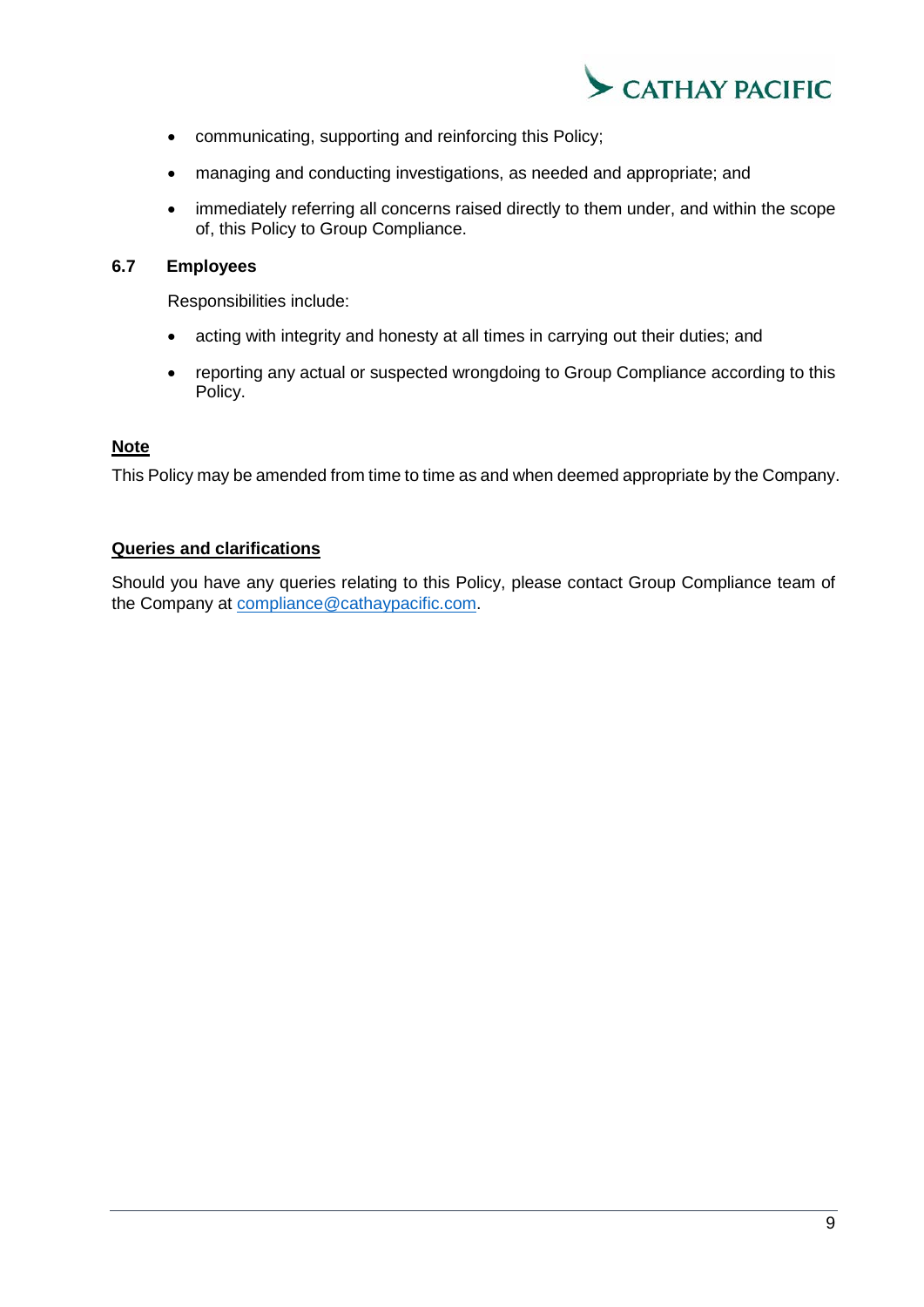

- communicating, supporting and reinforcing this Policy;
- managing and conducting investigations, as needed and appropriate; and
- immediately referring all concerns raised directly to them under, and within the scope of, this Policy to Group Compliance.

# <span id="page-8-0"></span>**6.7 Employees**

Responsibilities include:

- acting with integrity and honesty at all times in carrying out their duties; and
- reporting any actual or suspected wrongdoing to Group Compliance according to this Policy.

# **Note**

This Policy may be amended from time to time as and when deemed appropriate by the Company.

#### **Queries and clarifications**

Should you have any queries relating to this Policy, please contact Group Compliance team of the Company at [compliance@cathaypacific.com.](mailto:compliance@cathaypacific.com)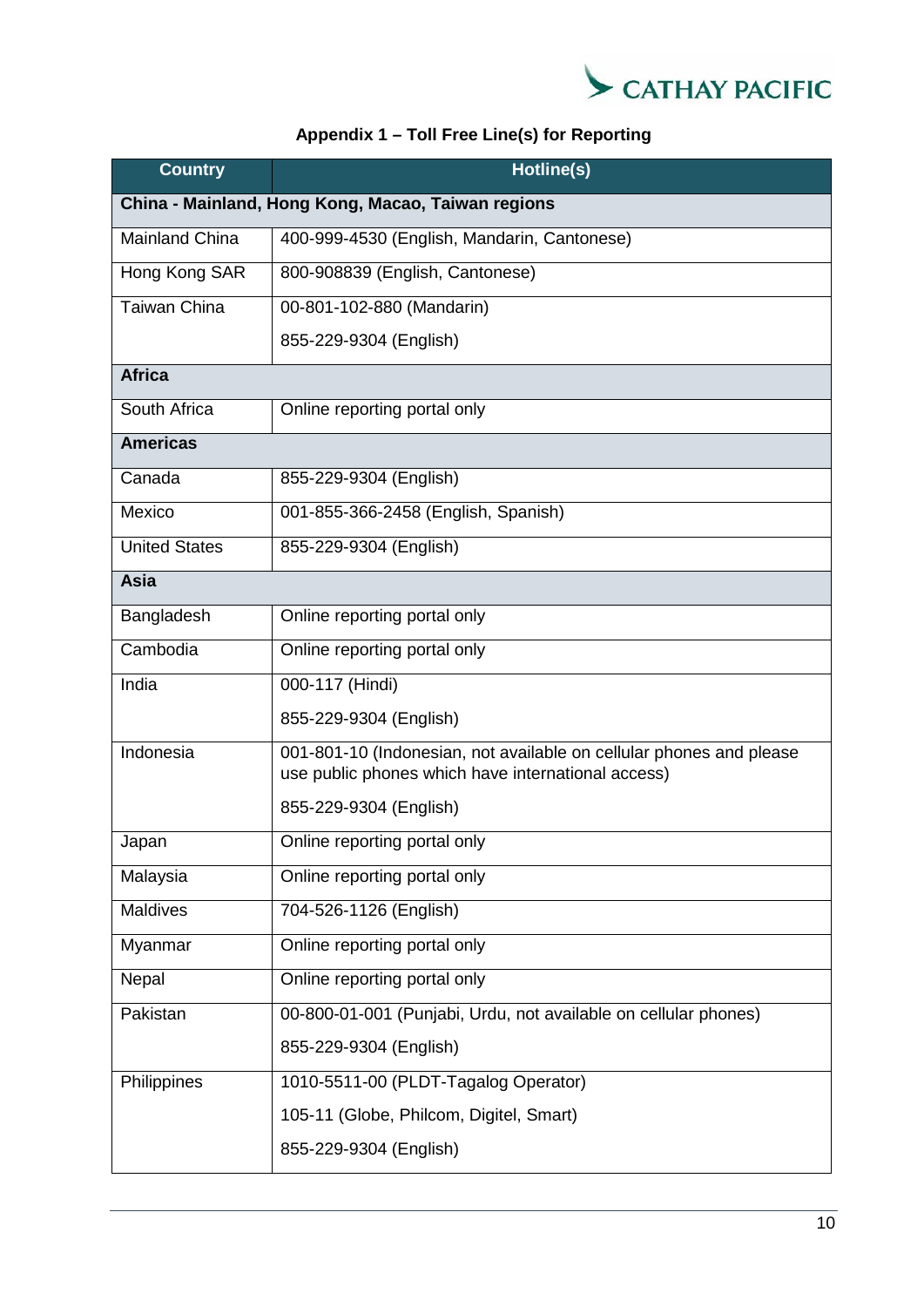

# **Appendix 1 – Toll Free Line(s) for Reporting**

| <b>Country</b>                                     | Hotline(s)                                                                                                                |  |  |  |  |  |
|----------------------------------------------------|---------------------------------------------------------------------------------------------------------------------------|--|--|--|--|--|
| China - Mainland, Hong Kong, Macao, Taiwan regions |                                                                                                                           |  |  |  |  |  |
| <b>Mainland China</b>                              | 400-999-4530 (English, Mandarin, Cantonese)                                                                               |  |  |  |  |  |
| Hong Kong SAR                                      | 800-908839 (English, Cantonese)                                                                                           |  |  |  |  |  |
| <b>Taiwan China</b>                                | 00-801-102-880 (Mandarin)                                                                                                 |  |  |  |  |  |
|                                                    | 855-229-9304 (English)                                                                                                    |  |  |  |  |  |
| <b>Africa</b>                                      |                                                                                                                           |  |  |  |  |  |
| South Africa                                       | Online reporting portal only                                                                                              |  |  |  |  |  |
| <b>Americas</b>                                    |                                                                                                                           |  |  |  |  |  |
| Canada                                             | 855-229-9304 (English)                                                                                                    |  |  |  |  |  |
| Mexico                                             | 001-855-366-2458 (English, Spanish)                                                                                       |  |  |  |  |  |
| <b>United States</b>                               | 855-229-9304 (English)                                                                                                    |  |  |  |  |  |
| Asia                                               |                                                                                                                           |  |  |  |  |  |
| Bangladesh                                         | Online reporting portal only                                                                                              |  |  |  |  |  |
| Cambodia                                           | Online reporting portal only                                                                                              |  |  |  |  |  |
| India                                              | 000-117 (Hindi)                                                                                                           |  |  |  |  |  |
|                                                    | 855-229-9304 (English)                                                                                                    |  |  |  |  |  |
| Indonesia                                          | 001-801-10 (Indonesian, not available on cellular phones and please<br>use public phones which have international access) |  |  |  |  |  |
|                                                    | 855-229-9304 (English)                                                                                                    |  |  |  |  |  |
| Japan                                              | Online reporting portal only                                                                                              |  |  |  |  |  |
| Malaysia                                           | Online reporting portal only                                                                                              |  |  |  |  |  |
| Maldives                                           | 704-526-1126 (English)                                                                                                    |  |  |  |  |  |
| Myanmar                                            | Online reporting portal only                                                                                              |  |  |  |  |  |
| Nepal                                              | Online reporting portal only                                                                                              |  |  |  |  |  |
| Pakistan                                           | 00-800-01-001 (Punjabi, Urdu, not available on cellular phones)                                                           |  |  |  |  |  |
|                                                    | 855-229-9304 (English)                                                                                                    |  |  |  |  |  |
| Philippines                                        | 1010-5511-00 (PLDT-Tagalog Operator)                                                                                      |  |  |  |  |  |
|                                                    | 105-11 (Globe, Philcom, Digitel, Smart)                                                                                   |  |  |  |  |  |
|                                                    | 855-229-9304 (English)                                                                                                    |  |  |  |  |  |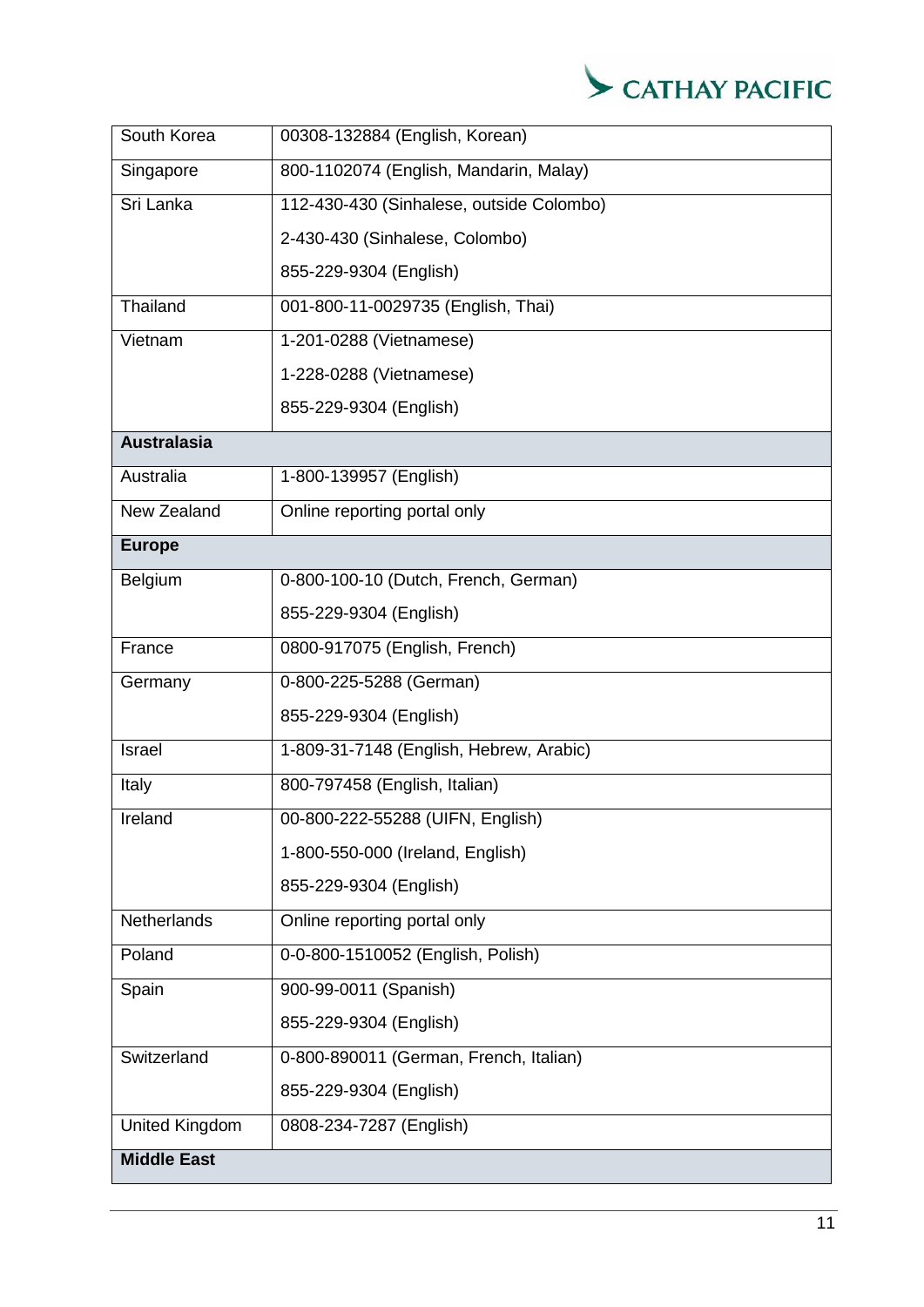

| South Korea           | 00308-132884 (English, Korean)           |  |  |  |  |
|-----------------------|------------------------------------------|--|--|--|--|
| Singapore             | 800-1102074 (English, Mandarin, Malay)   |  |  |  |  |
| Sri Lanka             | 112-430-430 (Sinhalese, outside Colombo) |  |  |  |  |
|                       | 2-430-430 (Sinhalese, Colombo)           |  |  |  |  |
|                       | 855-229-9304 (English)                   |  |  |  |  |
| Thailand              | 001-800-11-0029735 (English, Thai)       |  |  |  |  |
| Vietnam               | 1-201-0288 (Vietnamese)                  |  |  |  |  |
|                       | 1-228-0288 (Vietnamese)                  |  |  |  |  |
|                       | 855-229-9304 (English)                   |  |  |  |  |
| <b>Australasia</b>    |                                          |  |  |  |  |
| Australia             | 1-800-139957 (English)                   |  |  |  |  |
| New Zealand           | Online reporting portal only             |  |  |  |  |
| <b>Europe</b>         |                                          |  |  |  |  |
| Belgium               | 0-800-100-10 (Dutch, French, German)     |  |  |  |  |
|                       | 855-229-9304 (English)                   |  |  |  |  |
| France                | 0800-917075 (English, French)            |  |  |  |  |
| Germany               | 0-800-225-5288 (German)                  |  |  |  |  |
|                       | 855-229-9304 (English)                   |  |  |  |  |
| Israel                | 1-809-31-7148 (English, Hebrew, Arabic)  |  |  |  |  |
| Italy                 | 800-797458 (English, Italian)            |  |  |  |  |
| Ireland               | 00-800-222-55288 (UIFN, English)         |  |  |  |  |
|                       | 1-800-550-000 (Ireland, English)         |  |  |  |  |
|                       | 855-229-9304 (English)                   |  |  |  |  |
| Netherlands           | Online reporting portal only             |  |  |  |  |
| Poland                | 0-0-800-1510052 (English, Polish)        |  |  |  |  |
| Spain                 | 900-99-0011 (Spanish)                    |  |  |  |  |
|                       | 855-229-9304 (English)                   |  |  |  |  |
| Switzerland           | 0-800-890011 (German, French, Italian)   |  |  |  |  |
|                       | 855-229-9304 (English)                   |  |  |  |  |
| <b>United Kingdom</b> | 0808-234-7287 (English)                  |  |  |  |  |
| <b>Middle East</b>    |                                          |  |  |  |  |